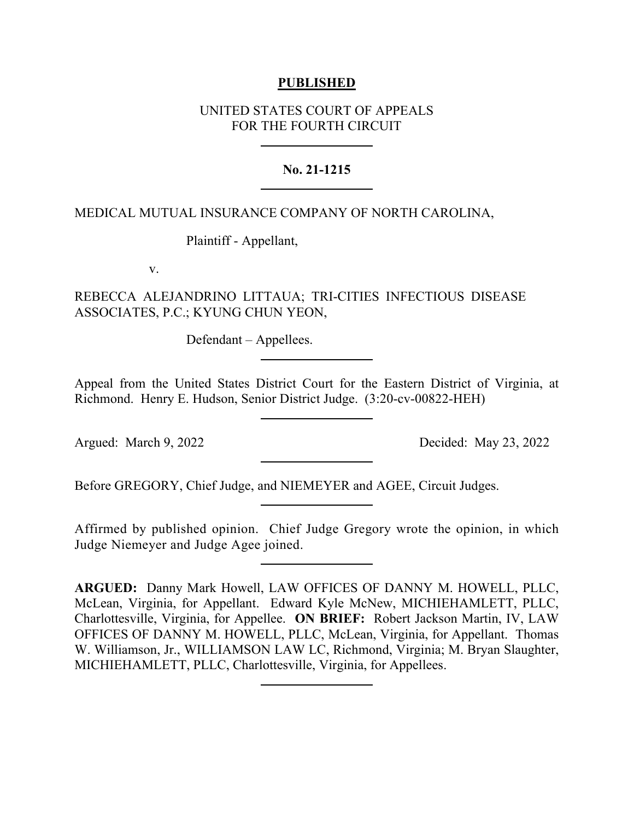## **PUBLISHED**

## UNITED STATES COURT OF APPEALS FOR THE FOURTH CIRCUIT

# **No. 21-1215**

## MEDICAL MUTUAL INSURANCE COMPANY OF NORTH CAROLINA,

Plaintiff - Appellant,

v.

REBECCA ALEJANDRINO LITTAUA; TRI-CITIES INFECTIOUS DISEASE ASSOCIATES, P.C.; KYUNG CHUN YEON,

Defendant – Appellees.

Appeal from the United States District Court for the Eastern District of Virginia, at Richmond. Henry E. Hudson, Senior District Judge. (3:20-cv-00822-HEH)

Argued: March 9, 2022 Decided: May 23, 2022

Before GREGORY, Chief Judge, and NIEMEYER and AGEE, Circuit Judges.

Affirmed by published opinion. Chief Judge Gregory wrote the opinion, in which Judge Niemeyer and Judge Agee joined.

**ARGUED:** Danny Mark Howell, LAW OFFICES OF DANNY M. HOWELL, PLLC, McLean, Virginia, for Appellant. Edward Kyle McNew, MICHIEHAMLETT, PLLC, Charlottesville, Virginia, for Appellee. **ON BRIEF:** Robert Jackson Martin, IV, LAW OFFICES OF DANNY M. HOWELL, PLLC, McLean, Virginia, for Appellant. Thomas W. Williamson, Jr., WILLIAMSON LAW LC, Richmond, Virginia; M. Bryan Slaughter, MICHIEHAMLETT, PLLC, Charlottesville, Virginia, for Appellees.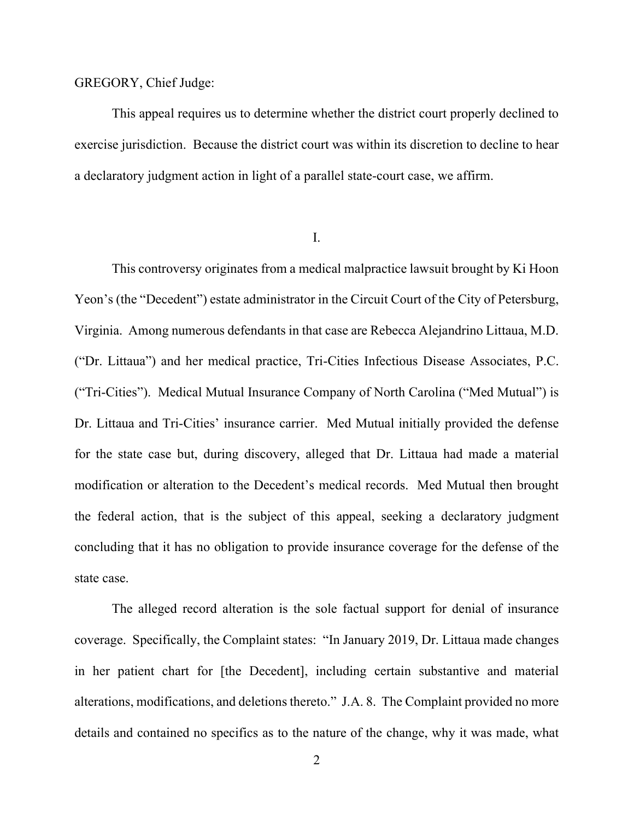#### GREGORY, Chief Judge:

This appeal requires us to determine whether the district court properly declined to exercise jurisdiction. Because the district court was within its discretion to decline to hear a declaratory judgment action in light of a parallel state-court case, we affirm.

I.

This controversy originates from a medical malpractice lawsuit brought by Ki Hoon Yeon's (the "Decedent") estate administrator in the Circuit Court of the City of Petersburg, Virginia. Among numerous defendants in that case are Rebecca Alejandrino Littaua, M.D. ("Dr. Littaua") and her medical practice, Tri-Cities Infectious Disease Associates, P.C. ("Tri-Cities"). Medical Mutual Insurance Company of North Carolina ("Med Mutual") is Dr. Littaua and Tri-Cities' insurance carrier. Med Mutual initially provided the defense for the state case but, during discovery, alleged that Dr. Littaua had made a material modification or alteration to the Decedent's medical records. Med Mutual then brought the federal action, that is the subject of this appeal, seeking a declaratory judgment concluding that it has no obligation to provide insurance coverage for the defense of the state case.

The alleged record alteration is the sole factual support for denial of insurance coverage. Specifically, the Complaint states: "In January 2019, Dr. Littaua made changes in her patient chart for [the Decedent], including certain substantive and material alterations, modifications, and deletions thereto." J.A. 8. The Complaint provided no more details and contained no specifics as to the nature of the change, why it was made, what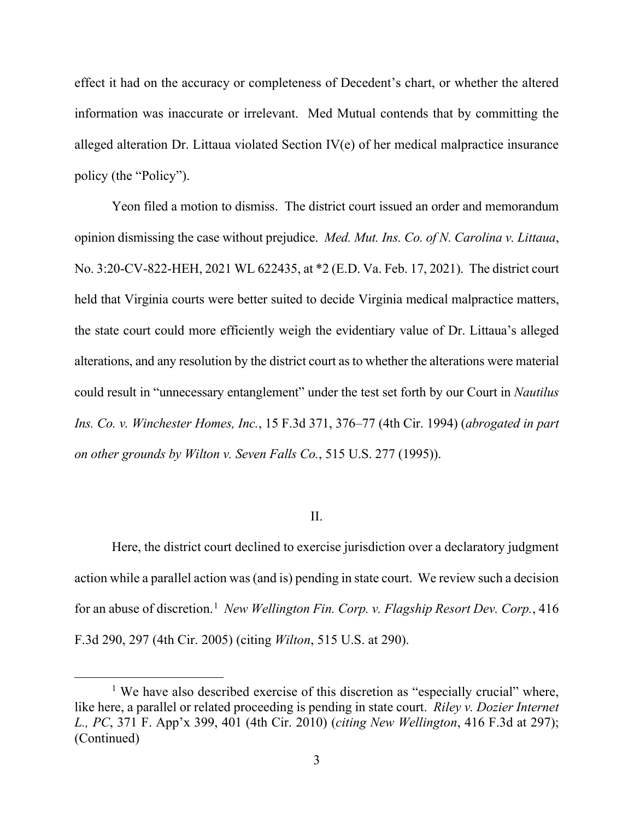effect it had on the accuracy or completeness of Decedent's chart, or whether the altered information was inaccurate or irrelevant. Med Mutual contends that by committing the alleged alteration Dr. Littaua violated Section IV(e) of her medical malpractice insurance policy (the "Policy").

Yeon filed a motion to dismiss. The district court issued an order and memorandum opinion dismissing the case without prejudice. *Med. Mut. Ins. Co. of N. Carolina v. Littaua*, No. 3:20-CV-822-HEH, 2021 WL 622435, at \*2 (E.D. Va. Feb. 17, 2021). The district court held that Virginia courts were better suited to decide Virginia medical malpractice matters, the state court could more efficiently weigh the evidentiary value of Dr. Littaua's alleged alterations, and any resolution by the district court as to whether the alterations were material could result in "unnecessary entanglement" under the test set forth by our Court in *Nautilus Ins. Co. v. Winchester Homes, Inc.*, 15 F.3d 371, 376–77 (4th Cir. 1994) (*abrogated in part on other grounds by Wilton v. Seven Falls Co.*, 515 U.S. 277 (1995)).

### II.

Here, the district court declined to exercise jurisdiction over a declaratory judgment action while a parallel action was (and is) pending in state court. We review such a decision for an abuse of discretion.<sup>[1](#page-2-0)</sup> New Wellington Fin. Corp. v. Flagship Resort Dev. Corp., 416 F.3d 290, 297 (4th Cir. 2005) (citing *Wilton*, 515 U.S. at 290).

<span id="page-2-0"></span><sup>&</sup>lt;sup>1</sup> We have also described exercise of this discretion as "especially crucial" where, like here, a parallel or related proceeding is pending in state court. *Riley v. Dozier Internet L., PC*, 371 F. App'x 399, 401 (4th Cir. 2010) (*citing New Wellington*, 416 F.3d at 297); (Continued)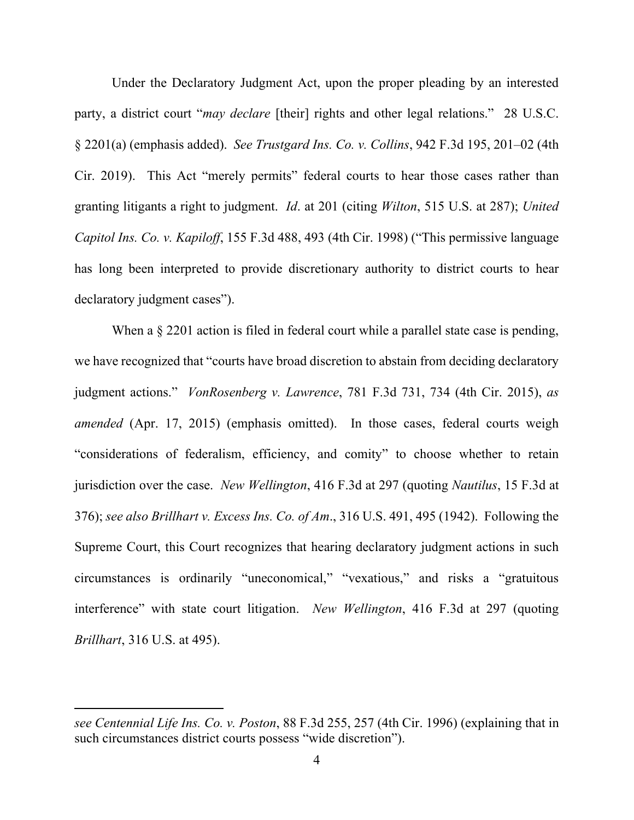Under the Declaratory Judgment Act, upon the proper pleading by an interested party, a district court "*may declare* [their] rights and other legal relations." 28 U.S.C. § 2201(a) (emphasis added). *See Trustgard Ins. Co. v. Collins*, 942 F.3d 195, 201–02 (4th Cir. 2019). This Act "merely permits" federal courts to hear those cases rather than granting litigants a right to judgment. *Id*. at 201 (citing *Wilton*, 515 U.S. at 287); *United Capitol Ins. Co. v. Kapiloff*, 155 F.3d 488, 493 (4th Cir. 1998) ("This permissive language has long been interpreted to provide discretionary authority to district courts to hear declaratory judgment cases").

When a  $\S 2201$  action is filed in federal court while a parallel state case is pending, we have recognized that "courts have broad discretion to abstain from deciding declaratory judgment actions." *VonRosenberg v. Lawrence*, 781 F.3d 731, 734 (4th Cir. 2015), *as amended* (Apr. 17, 2015) (emphasis omitted). In those cases, federal courts weigh "considerations of federalism, efficiency, and comity" to choose whether to retain jurisdiction over the case. *New Wellington*, 416 F.3d at 297 (quoting *Nautilus*, 15 F.3d at 376); *see also Brillhart v. Excess Ins. Co. of Am*., 316 U.S. 491, 495 (1942). Following the Supreme Court, this Court recognizes that hearing declaratory judgment actions in such circumstances is ordinarily "uneconomical," "vexatious," and risks a "gratuitous interference" with state court litigation. *New Wellington*, 416 F.3d at 297 (quoting *Brillhart*, 316 U.S. at 495).

*see Centennial Life Ins. Co. v. Poston*, 88 F.3d 255, 257 (4th Cir. 1996) (explaining that in such circumstances district courts possess "wide discretion").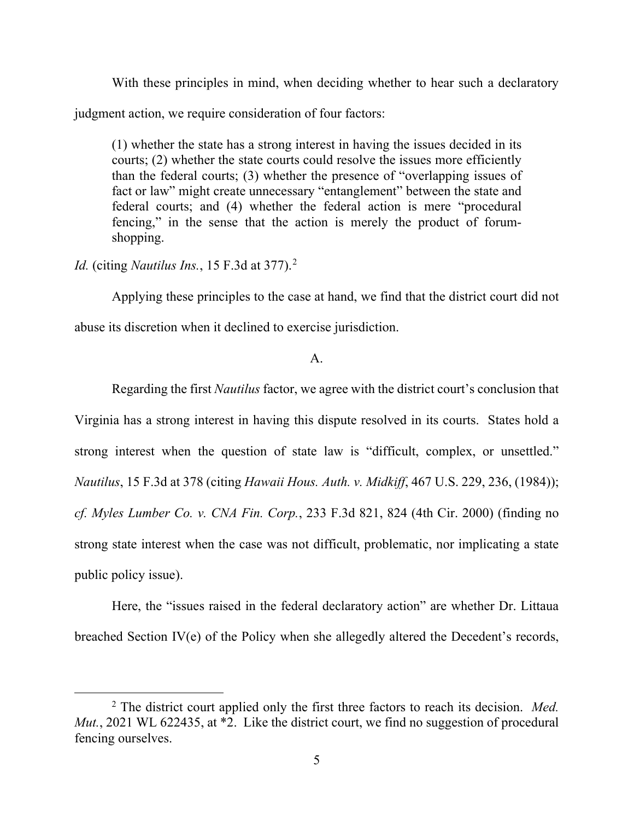With these principles in mind, when deciding whether to hear such a declaratory

judgment action, we require consideration of four factors:

(1) whether the state has a strong interest in having the issues decided in its courts; (2) whether the state courts could resolve the issues more efficiently than the federal courts; (3) whether the presence of "overlapping issues of fact or law" might create unnecessary "entanglement" between the state and federal courts; and (4) whether the federal action is mere "procedural fencing," in the sense that the action is merely the product of forumshopping.

*Id.* (citing *Nautilus Ins.*, 15 F.3d at 377). [2](#page-4-0)

Applying these principles to the case at hand, we find that the district court did not

abuse its discretion when it declined to exercise jurisdiction.

### A.

Regarding the first *Nautilus* factor, we agree with the district court's conclusion that Virginia has a strong interest in having this dispute resolved in its courts. States hold a strong interest when the question of state law is "difficult, complex, or unsettled." *Nautilus*, 15 F.3d at 378 (citing *Hawaii Hous. Auth. v. Midkiff*, 467 U.S. 229, 236, (1984)); *cf. Myles Lumber Co. v. CNA Fin. Corp.*, 233 F.3d 821, 824 (4th Cir. 2000) (finding no strong state interest when the case was not difficult, problematic, nor implicating a state public policy issue).

Here, the "issues raised in the federal declaratory action" are whether Dr. Littaua breached Section IV(e) of the Policy when she allegedly altered the Decedent's records,

<span id="page-4-0"></span><sup>2</sup> The district court applied only the first three factors to reach its decision. *Med. Mut.*, 2021 WL 622435, at  $*2$ . Like the district court, we find no suggestion of procedural fencing ourselves.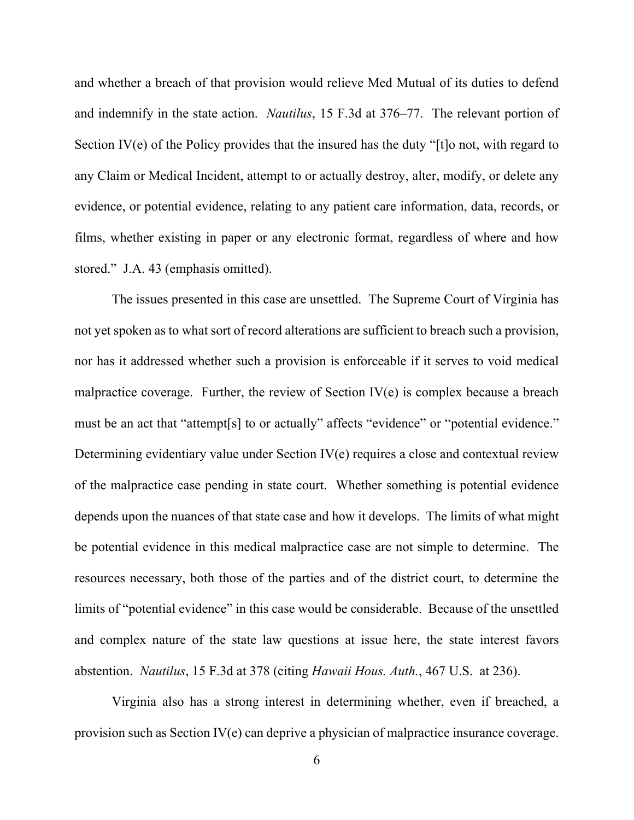and whether a breach of that provision would relieve Med Mutual of its duties to defend and indemnify in the state action. *Nautilus*, 15 F.3d at 376–77. The relevant portion of Section IV(e) of the Policy provides that the insured has the duty "[t]o not, with regard to any Claim or Medical Incident, attempt to or actually destroy, alter, modify, or delete any evidence, or potential evidence, relating to any patient care information, data, records, or films, whether existing in paper or any electronic format, regardless of where and how stored." J.A. 43 (emphasis omitted).

The issues presented in this case are unsettled. The Supreme Court of Virginia has not yet spoken as to what sort of record alterations are sufficient to breach such a provision, nor has it addressed whether such a provision is enforceable if it serves to void medical malpractice coverage. Further, the review of Section  $IV(e)$  is complex because a breach must be an act that "attempt[s] to or actually" affects "evidence" or "potential evidence." Determining evidentiary value under Section IV(e) requires a close and contextual review of the malpractice case pending in state court. Whether something is potential evidence depends upon the nuances of that state case and how it develops. The limits of what might be potential evidence in this medical malpractice case are not simple to determine. The resources necessary, both those of the parties and of the district court, to determine the limits of "potential evidence" in this case would be considerable. Because of the unsettled and complex nature of the state law questions at issue here, the state interest favors abstention. *Nautilus*, 15 F.3d at 378 (citing *Hawaii Hous. Auth.*, 467 U.S. at 236).

Virginia also has a strong interest in determining whether, even if breached, a provision such as Section IV(e) can deprive a physician of malpractice insurance coverage.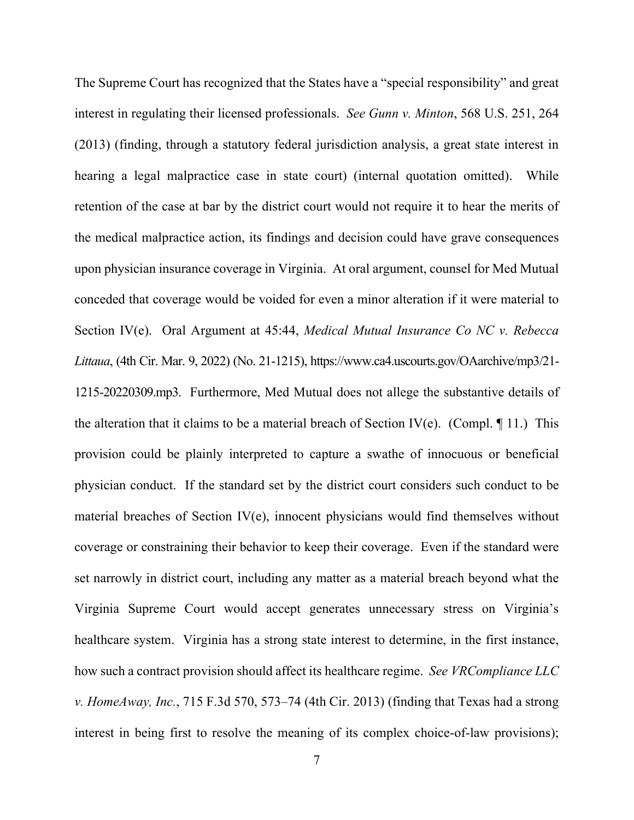The Supreme Court has recognized that the States have a "special responsibility" and great interest in regulating their licensed professionals. *See Gunn v. Minton*, 568 U.S. 251, 264 (2013) (finding, through a statutory federal jurisdiction analysis, a great state interest in hearing a legal malpractice case in state court) (internal quotation omitted). While retention of the case at bar by the district court would not require it to hear the merits of the medical malpractice action, its findings and decision could have grave consequences upon physician insurance coverage in Virginia. At oral argument, counsel for Med Mutual conceded that coverage would be voided for even a minor alteration if it were material to Section IV(e). Oral Argument at 45:44, *Medical Mutual Insurance Co NC v. Rebecca Littaua*, (4th Cir. Mar. 9, 2022) (No. 21-1215), https://www.ca4.uscourts.gov/OAarchive/mp3/21- 1215-20220309.mp3. Furthermore, Med Mutual does not allege the substantive details of the alteration that it claims to be a material breach of Section IV(e). (Compl.  $\P$  11.) This provision could be plainly interpreted to capture a swathe of innocuous or beneficial physician conduct. If the standard set by the district court considers such conduct to be material breaches of Section IV(e), innocent physicians would find themselves without coverage or constraining their behavior to keep their coverage. Even if the standard were set narrowly in district court, including any matter as a material breach beyond what the Virginia Supreme Court would accept generates unnecessary stress on Virginia's healthcare system. Virginia has a strong state interest to determine, in the first instance, how such a contract provision should affect its healthcare regime. *See VRCompliance LLC v. HomeAway, Inc.*, 715 F.3d 570, 573–74 (4th Cir. 2013) (finding that Texas had a strong interest in being first to resolve the meaning of its complex choice-of-law provisions);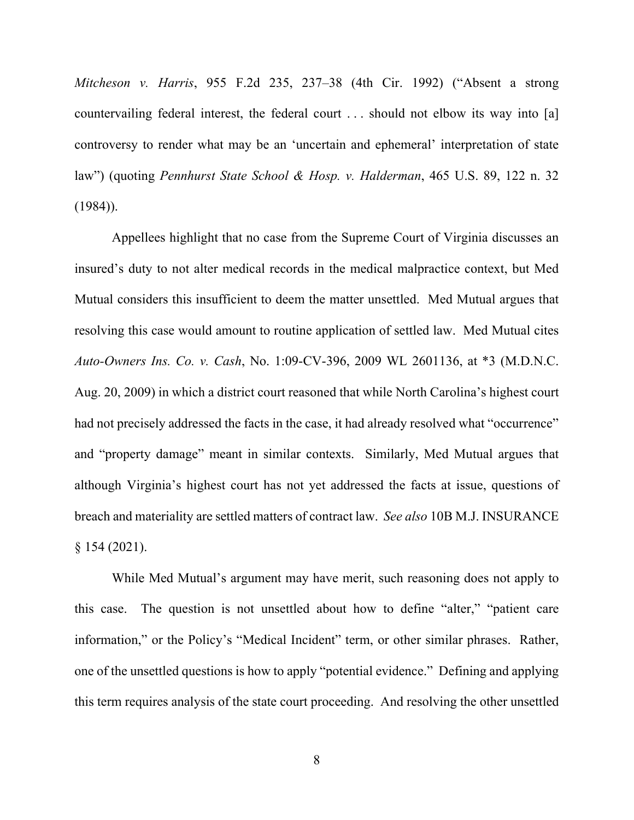*Mitcheson v. Harris*, 955 F.2d 235, 237–38 (4th Cir. 1992) ("Absent a strong countervailing federal interest, the federal court . . . should not elbow its way into [a] controversy to render what may be an 'uncertain and ephemeral' interpretation of state law") (quoting *Pennhurst State School & Hosp. v. Halderman*, 465 U.S. 89, 122 n. 32  $(1984)$ ).

Appellees highlight that no case from the Supreme Court of Virginia discusses an insured's duty to not alter medical records in the medical malpractice context, but Med Mutual considers this insufficient to deem the matter unsettled. Med Mutual argues that resolving this case would amount to routine application of settled law. Med Mutual cites *Auto-Owners Ins. Co. v. Cash*, No. 1:09-CV-396, 2009 WL 2601136, at \*3 (M.D.N.C. Aug. 20, 2009) in which a district court reasoned that while North Carolina's highest court had not precisely addressed the facts in the case, it had already resolved what "occurrence" and "property damage" meant in similar contexts. Similarly, Med Mutual argues that although Virginia's highest court has not yet addressed the facts at issue, questions of breach and materiality are settled matters of contract law. *See also* 10B M.J. INSURANCE § 154 (2021).

While Med Mutual's argument may have merit, such reasoning does not apply to this case. The question is not unsettled about how to define "alter," "patient care information," or the Policy's "Medical Incident" term, or other similar phrases. Rather, one of the unsettled questions is how to apply "potential evidence." Defining and applying this term requires analysis of the state court proceeding. And resolving the other unsettled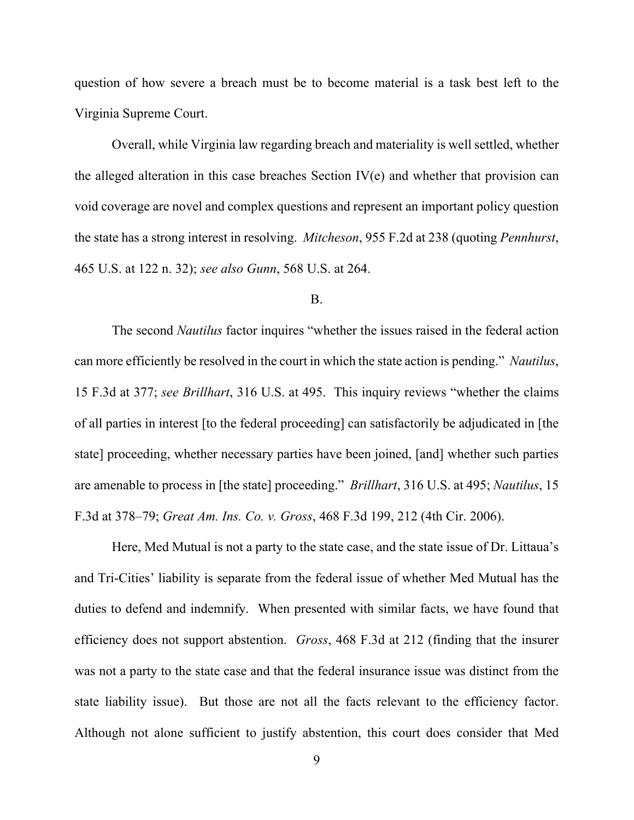question of how severe a breach must be to become material is a task best left to the Virginia Supreme Court.

Overall, while Virginia law regarding breach and materiality is well settled, whether the alleged alteration in this case breaches Section IV(e) and whether that provision can void coverage are novel and complex questions and represent an important policy question the state has a strong interest in resolving. *Mitcheson*, 955 F.2d at 238 (quoting *Pennhurst*, 465 U.S. at 122 n. 32); *see also Gunn*, 568 U.S. at 264.

#### B.

The second *Nautilus* factor inquires "whether the issues raised in the federal action can more efficiently be resolved in the court in which the state action is pending." *Nautilus*, 15 F.3d at 377; *see Brillhart*, 316 U.S. at 495. This inquiry reviews "whether the claims of all parties in interest [to the federal proceeding] can satisfactorily be adjudicated in [the state] proceeding, whether necessary parties have been joined, [and] whether such parties are amenable to process in [the state] proceeding." *Brillhart*, 316 U.S. at 495; *Nautilus*, 15 F.3d at 378–79; *Great Am. Ins. Co. v. Gross*, 468 F.3d 199, 212 (4th Cir. 2006).

Here, Med Mutual is not a party to the state case, and the state issue of Dr. Littaua's and Tri-Cities' liability is separate from the federal issue of whether Med Mutual has the duties to defend and indemnify. When presented with similar facts, we have found that efficiency does not support abstention. *Gross*, 468 F.3d at 212 (finding that the insurer was not a party to the state case and that the federal insurance issue was distinct from the state liability issue). But those are not all the facts relevant to the efficiency factor. Although not alone sufficient to justify abstention, this court does consider that Med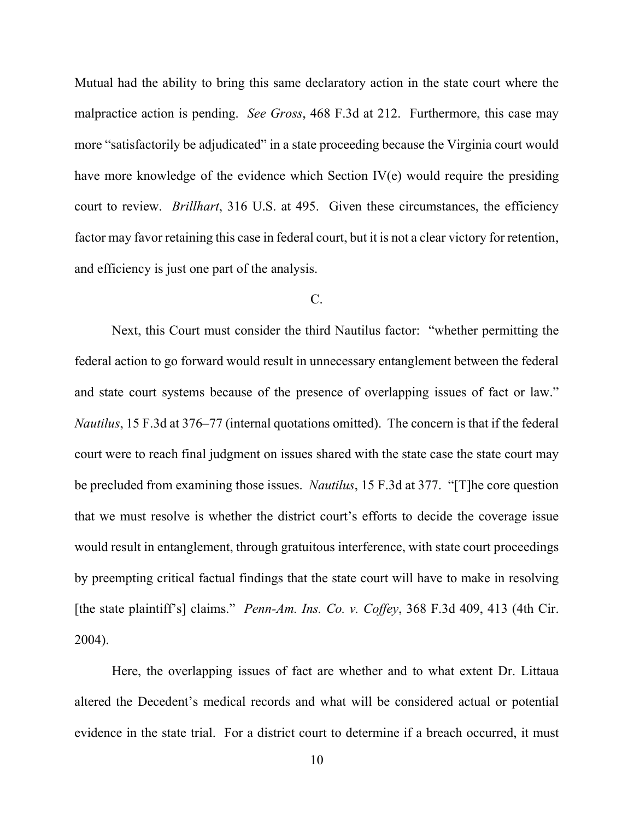Mutual had the ability to bring this same declaratory action in the state court where the malpractice action is pending. *See Gross*, 468 F.3d at 212. Furthermore, this case may more "satisfactorily be adjudicated" in a state proceeding because the Virginia court would have more knowledge of the evidence which Section IV(e) would require the presiding court to review. *Brillhart*, 316 U.S. at 495. Given these circumstances, the efficiency factor may favor retaining this case in federal court, but it is not a clear victory for retention, and efficiency is just one part of the analysis.

### $C<sub>1</sub>$

Next, this Court must consider the third Nautilus factor: "whether permitting the federal action to go forward would result in unnecessary entanglement between the federal and state court systems because of the presence of overlapping issues of fact or law." *Nautilus*, 15 F.3d at 376–77 (internal quotations omitted). The concern is that if the federal court were to reach final judgment on issues shared with the state case the state court may be precluded from examining those issues. *Nautilus*, 15 F.3d at 377. "[T]he core question that we must resolve is whether the district court's efforts to decide the coverage issue would result in entanglement, through gratuitous interference, with state court proceedings by preempting critical factual findings that the state court will have to make in resolving [the state plaintiff's] claims." *Penn-Am. Ins. Co. v. Coffey*, 368 F.3d 409, 413 (4th Cir. 2004).

Here, the overlapping issues of fact are whether and to what extent Dr. Littaua altered the Decedent's medical records and what will be considered actual or potential evidence in the state trial. For a district court to determine if a breach occurred, it must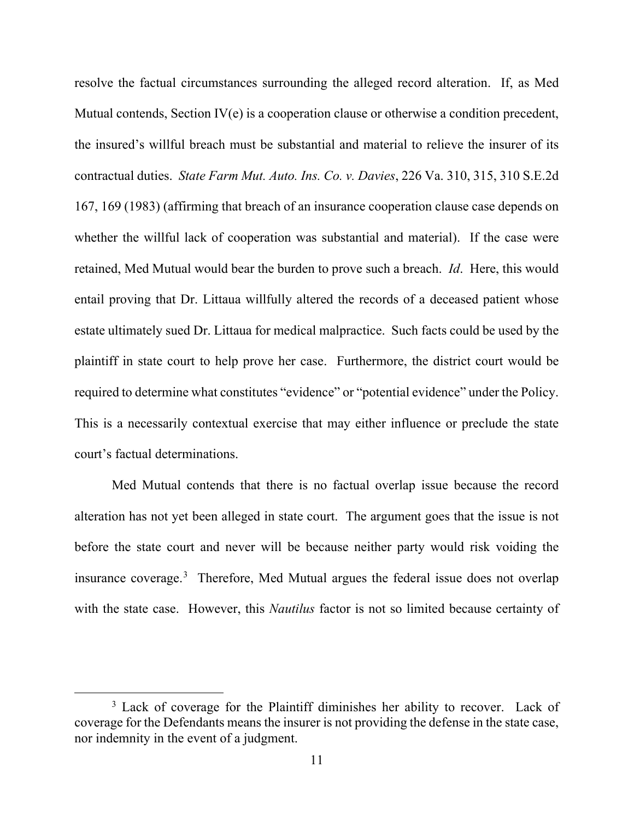resolve the factual circumstances surrounding the alleged record alteration. If, as Med Mutual contends, Section IV(e) is a cooperation clause or otherwise a condition precedent, the insured's willful breach must be substantial and material to relieve the insurer of its contractual duties. *State Farm Mut. Auto. Ins. Co. v. Davies*, 226 Va. 310, 315, 310 S.E.2d 167, 169 (1983) (affirming that breach of an insurance cooperation clause case depends on whether the willful lack of cooperation was substantial and material). If the case were retained, Med Mutual would bear the burden to prove such a breach. *Id*. Here, this would entail proving that Dr. Littaua willfully altered the records of a deceased patient whose estate ultimately sued Dr. Littaua for medical malpractice. Such facts could be used by the plaintiff in state court to help prove her case. Furthermore, the district court would be required to determine what constitutes "evidence" or "potential evidence" under the Policy. This is a necessarily contextual exercise that may either influence or preclude the state court's factual determinations.

Med Mutual contends that there is no factual overlap issue because the record alteration has not yet been alleged in state court. The argument goes that the issue is not before the state court and never will be because neither party would risk voiding the insurance coverage.[3](#page-10-0) Therefore, Med Mutual argues the federal issue does not overlap with the state case. However, this *Nautilus* factor is not so limited because certainty of

<span id="page-10-0"></span><sup>&</sup>lt;sup>3</sup> Lack of coverage for the Plaintiff diminishes her ability to recover. Lack of coverage for the Defendants means the insurer is not providing the defense in the state case, nor indemnity in the event of a judgment.